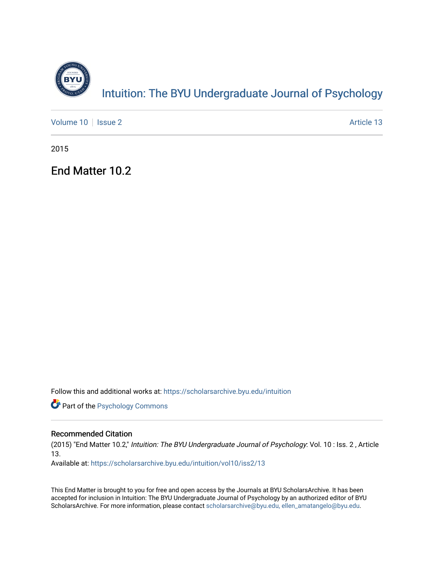

## Intuition: The BY[U Undergraduate Journal of Psy](https://scholarsarchive.byu.edu/intuition)chology

[Volume 10](https://scholarsarchive.byu.edu/intuition/vol10) | [Issue 2](https://scholarsarchive.byu.edu/intuition/vol10/iss2) Article 13

2015

End Matter 10.2

Follow this and additional works at: [https://scholarsarchive.byu.edu/intuition](https://scholarsarchive.byu.edu/intuition?utm_source=scholarsarchive.byu.edu%2Fintuition%2Fvol10%2Fiss2%2F13&utm_medium=PDF&utm_campaign=PDFCoverPages) 

**Part of the Psychology Commons** 

#### Recommended Citation

(2015) "End Matter 10.2," Intuition: The BYU Undergraduate Journal of Psychology: Vol. 10 : Iss. 2 , Article 13.

Available at: [https://scholarsarchive.byu.edu/intuition/vol10/iss2/13](https://scholarsarchive.byu.edu/intuition/vol10/iss2/13?utm_source=scholarsarchive.byu.edu%2Fintuition%2Fvol10%2Fiss2%2F13&utm_medium=PDF&utm_campaign=PDFCoverPages)

This End Matter is brought to you for free and open access by the Journals at BYU ScholarsArchive. It has been accepted for inclusion in Intuition: The BYU Undergraduate Journal of Psychology by an authorized editor of BYU ScholarsArchive. For more information, please contact [scholarsarchive@byu.edu, ellen\\_amatangelo@byu.edu.](mailto:scholarsarchive@byu.edu,%20ellen_amatangelo@byu.edu)